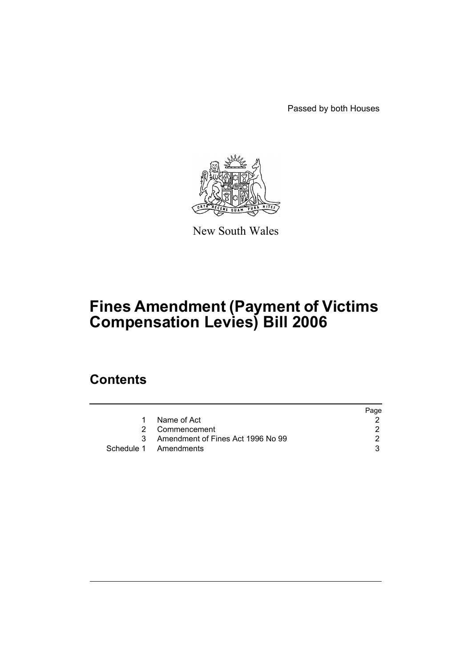Passed by both Houses



New South Wales

# **Fines Amendment (Payment of Victims Compensation Levies) Bill 2006**

## **Contents**

|    |                                   | Page |
|----|-----------------------------------|------|
|    | Name of Act                       |      |
|    | 2 Commencement                    |      |
| ्र | Amendment of Fines Act 1996 No 99 |      |
|    | Schedule 1 Amendments             |      |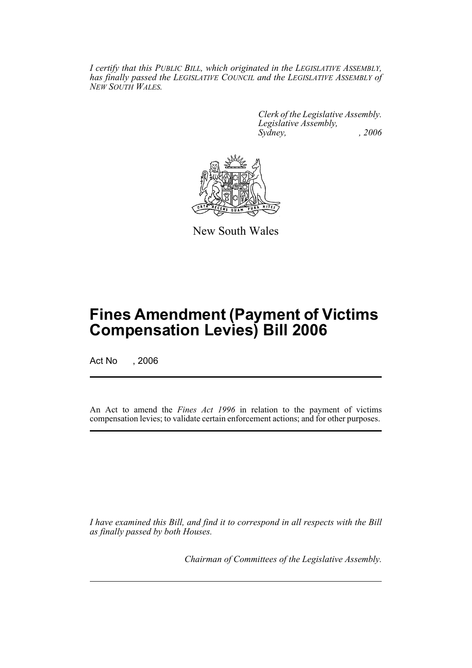*I certify that this PUBLIC BILL, which originated in the LEGISLATIVE ASSEMBLY, has finally passed the LEGISLATIVE COUNCIL and the LEGISLATIVE ASSEMBLY of NEW SOUTH WALES.*

> *Clerk of the Legislative Assembly. Legislative Assembly, Sydney, , 2006*



New South Wales

## **Fines Amendment (Payment of Victims Compensation Levies) Bill 2006**

Act No , 2006

An Act to amend the *Fines Act 1996* in relation to the payment of victims compensation levies; to validate certain enforcement actions; and for other purposes.

*I have examined this Bill, and find it to correspond in all respects with the Bill as finally passed by both Houses.*

*Chairman of Committees of the Legislative Assembly.*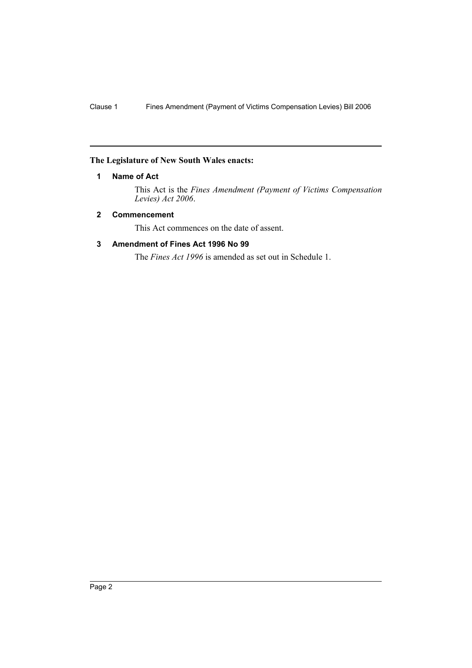#### **The Legislature of New South Wales enacts:**

#### **1 Name of Act**

This Act is the *Fines Amendment (Payment of Victims Compensation Levies) Act 2006*.

#### **2 Commencement**

This Act commences on the date of assent.

### **3 Amendment of Fines Act 1996 No 99**

The *Fines Act 1996* is amended as set out in Schedule 1.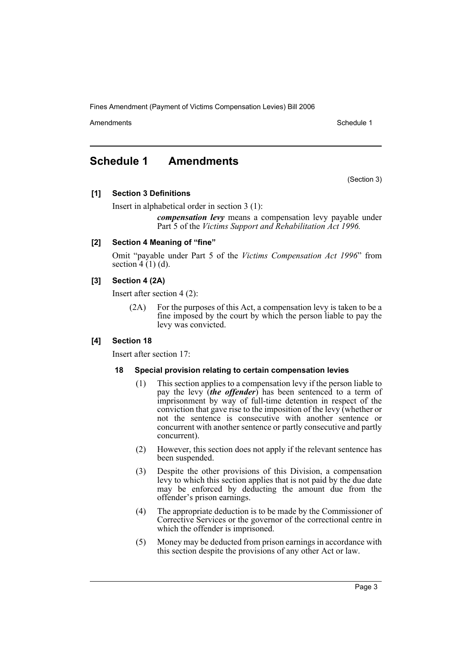Fines Amendment (Payment of Victims Compensation Levies) Bill 2006

Amendments **Amendments** Schedule 1

## **Schedule 1 Amendments**

(Section 3)

#### **[1] Section 3 Definitions**

Insert in alphabetical order in section 3 (1):

*compensation levy* means a compensation levy payable under Part 5 of the *Victims Support and Rehabilitation Act 1996.*

#### **[2] Section 4 Meaning of "fine"**

Omit "payable under Part 5 of the *Victims Compensation Act 1996*" from section  $4(1)(d)$ .

#### **[3] Section 4 (2A)**

Insert after section 4 (2):

(2A) For the purposes of this Act, a compensation levy is taken to be a fine imposed by the court by which the person liable to pay the levy was convicted.

#### **[4] Section 18**

Insert after section 17:

#### **18 Special provision relating to certain compensation levies**

- (1) This section applies to a compensation levy if the person liable to pay the levy (*the offender*) has been sentenced to a term of imprisonment by way of full-time detention in respect of the conviction that gave rise to the imposition of the levy (whether or not the sentence is consecutive with another sentence or concurrent with another sentence or partly consecutive and partly concurrent).
- (2) However, this section does not apply if the relevant sentence has been suspended.
- (3) Despite the other provisions of this Division, a compensation levy to which this section applies that is not paid by the due date may be enforced by deducting the amount due from the offender's prison earnings.
- (4) The appropriate deduction is to be made by the Commissioner of Corrective Services or the governor of the correctional centre in which the offender is imprisoned.
- (5) Money may be deducted from prison earnings in accordance with this section despite the provisions of any other Act or law.